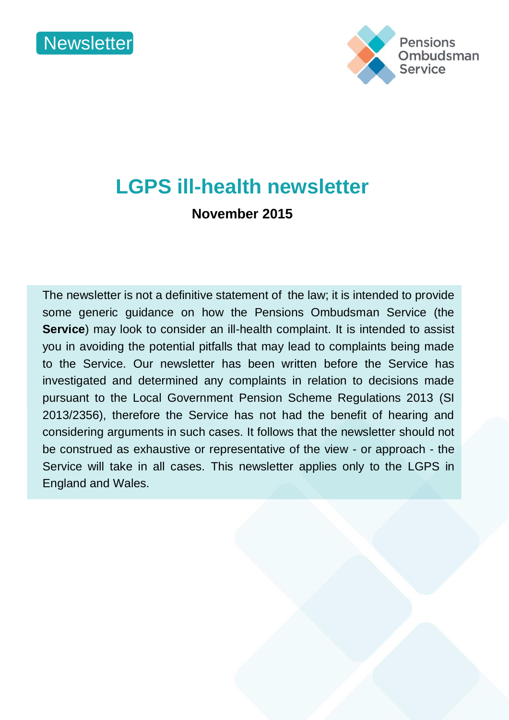



# **LGPS ill-health newsletter**

**November 2015** 

The newsletter is not a definitive statement of the law; it is intended to provide some generic guidance on how the Pensions Ombudsman Service (the **Service**) may look to consider an ill-health complaint. It is intended to assist you in avoiding the potential pitfalls that may lead to complaints being made to the Service. Our newsletter has been written before the Service has investigated and determined any complaints in relation to decisions made pursuant to the Local Government Pension Scheme Regulations 2013 (SI 2013/2356), therefore the Service has not had the benefit of hearing and considering arguments in such cases. It follows that the newsletter should not be construed as exhaustive or representative of the view - or approach - the Service will take in all cases. This newsletter applies only to the LGPS in England and Wales.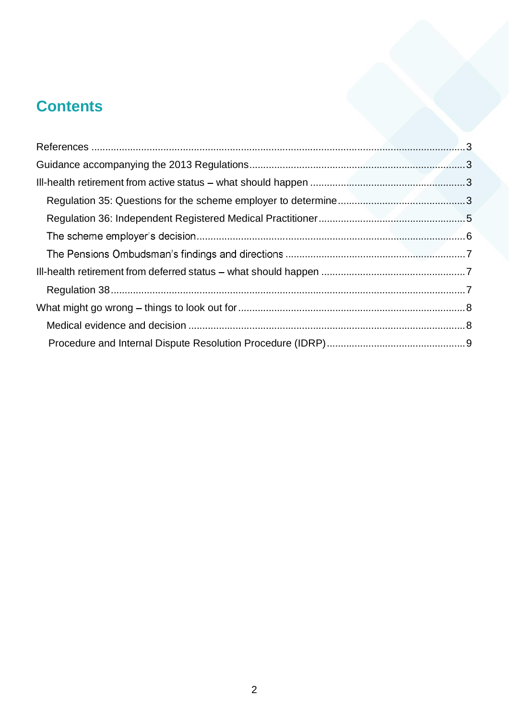## **Contents**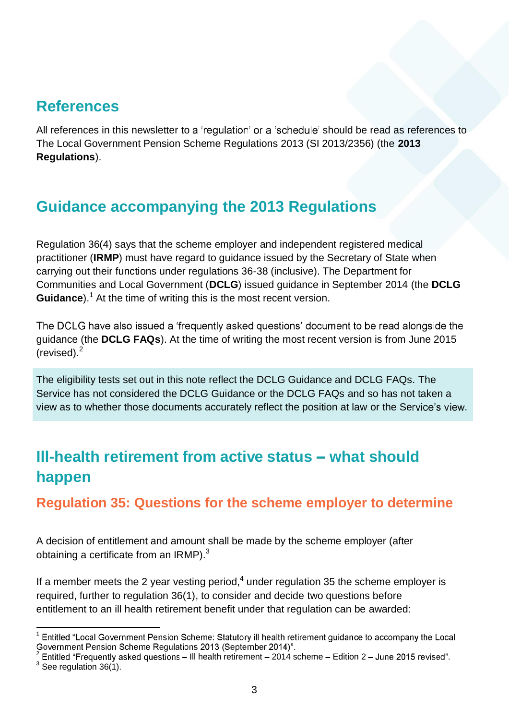### **References**

All references in this newsletter to a 'regulation' or a 'schedule' should be read as references to The Local Government Pension Scheme Regulations 2013 (SI 2013/2356) (the **2013 Regulations**).

## **Guidance accompanying the 2013 Regulations**

Regulation 36(4) says that the scheme employer and independent registered medical practitioner (**IRMP**) must have regard to guidance issued by the Secretary of State when carrying out their functions under regulations 36-38 (inclusive). The Department for Communities and Local Government (**DCLG**) issued guidance in September 2014 (the **DCLG Guidance**).<sup>1</sup> At the time of writing this is the most recent version.

The DCLG have also issued a 'frequently asked questions' document to be read alongside the guidance (the **DCLG FAQs**). At the time of writing the most recent version is from June 2015 (revised). $<sup>2</sup>$ </sup>

The eligibility tests set out in this note reflect the DCLG Guidance and DCLG FAQs. The Service has not considered the DCLG Guidance or the DCLG FAQs and so has not taken a view as to whether those documents accurately reflect the position at law or the Service's view.

## **III-health retirement from active status - what should happen**

**Regulation 35: Questions for the scheme employer to determine** 

A decision of entitlement and amount shall be made by the scheme employer (after obtaining a certificate from an IRMP). $3$ 

If a member meets the 2 year vesting period, $4$  under regulation 35 the scheme employer is required, further to regulation 36(1), to consider and decide two questions before entitlement to an ill health retirement benefit under that regulation can be awarded:

 $\frac{1}{1}$ Entitled "Local Government Pension Scheme: Statutory ill health retirement guidance to accompany the Local Sovernment Pension Scheme Regulations 2013 (September 2014)".<br>
<sup>2</sup> Entitled "Frequently asked questions – III health retirement – 2014 scheme – Edition 2 – June 2015 revised".

 $3\overline{$  See regulation 36(1).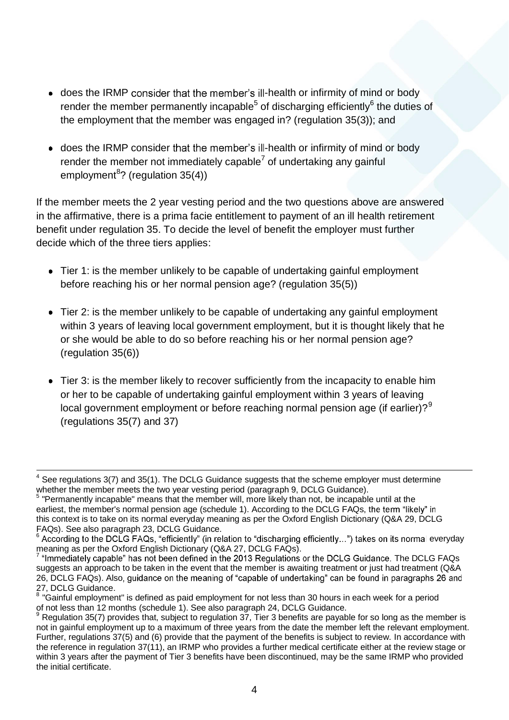- does the IRMP consider that the member's ill-health or infirmity of mind or body render the member permanently incapable<sup>5</sup> of discharging efficiently<sup>6</sup> the duties of the employment that the member was engaged in? (regulation 35(3)); and
- does the IRMP consider that the member's ill-health or infirmity of mind or body render the member not immediately capable<sup>7</sup> of undertaking any gainful employment<sup>8</sup>? (regulation 35(4))

If the member meets the 2 year vesting period and the two questions above are answered in the affirmative, there is a prima facie entitlement to payment of an ill health retirement benefit under regulation 35. To decide the level of benefit the employer must further decide which of the three tiers applies:

- Tier 1: is the member unlikely to be capable of undertaking gainful employment before reaching his or her normal pension age? (regulation 35(5))
- Tier 2: is the member unlikely to be capable of undertaking any gainful employment within 3 years of leaving local government employment, but it is thought likely that he or she would be able to do so before reaching his or her normal pension age? (regulation 35(6))
- Tier 3: is the member likely to recover sufficiently from the incapacity to enable him or her to be capable of undertaking gainful employment within 3 years of leaving local government employment or before reaching normal pension age (if earlier)? $9^9$ (regulations 35(7) and 37)

 $\frac{1}{4}$  See regulations 3(7) and 35(1). The DCLG Guidance suggests that the scheme employer must determine whether the member meets the two year vesting period (paragraph 9, DCLG Guidance).

<sup>&</sup>lt;sup>5</sup> "Permanently incapable" means that the member will, more likely than not, be incapable until at the earliest, the member's normal pension age (schedule 1). According to the DCLG FAQs, the term "likely" in this context is to take on its normal everyday meaning as per the Oxford English Dictionary (Q&A 29, DCLG FAQs). See also paragraph 23, DCLG Guidance.

 $6$  According to the DCLG FAQs, "efficiently" (in relation to "discharging efficiently...") takes on its normal everyday meaning as per the Oxford English Dictionary (Q&A 27, DCLG FAQs).

 $7$  "Immediately capable" has not been defined in the 2013 Regulations or the DCLG Guidance. The DCLG FAQs suggests an approach to be taken in the event that the member is awaiting treatment or just had treatment (Q&A 26, DCLG FAQs). Also, guidance on the meaning of "capable of undertaking" can be found in paragraphs 26 and 27, DCLG Guidance.

<sup>&</sup>lt;sup>8</sup> "Gainful employment" is defined as paid employment for not less than 30 hours in each week for a period of not less than 12 months (schedule 1). See also paragraph 24, DCLG Guidance. 9

 $9$  Regulation 35(7) provides that, subject to regulation 37, Tier 3 benefits are payable for so long as the member is not in gainful employment up to a maximum of three years from the date the member left the relevant employment. Further, regulations 37(5) and (6) provide that the payment of the benefits is subject to review. In accordance with the reference in regulation 37(11), an IRMP who provides a further medical certificate either at the review stage or within 3 years after the payment of Tier 3 benefits have been discontinued, may be the same IRMP who provided the initial certificate.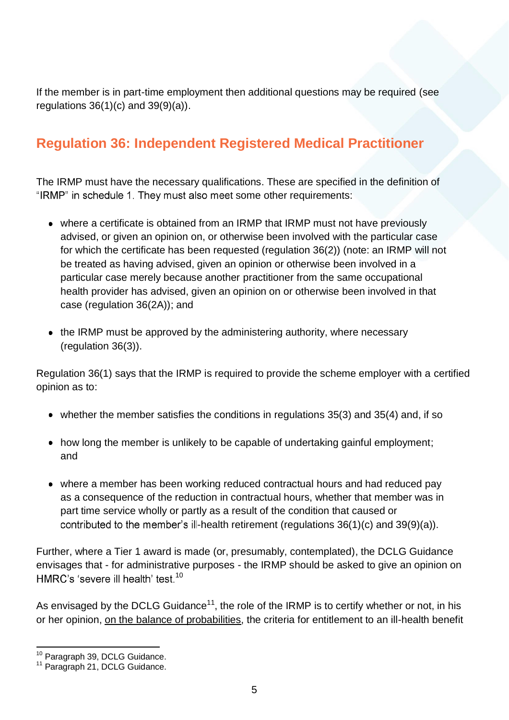If the member is in part-time employment then additional questions may be required (see regulations  $36(1)(c)$  and  $39(9)(a)$ ).

#### **Regulation 36: Independent Registered Medical Practitioner**

The IRMP must have the necessary qualifications. These are specified in the definition of "IRMP" in schedule 1. They must also meet some other requirements:

- where a certificate is obtained from an IRMP that IRMP must not have previously advised, or given an opinion on, or otherwise been involved with the particular case for which the certificate has been requested (regulation 36(2)) (note: an IRMP will not be treated as having advised, given an opinion or otherwise been involved in a particular case merely because another practitioner from the same occupational health provider has advised, given an opinion on or otherwise been involved in that case (regulation 36(2A)); and
- the IRMP must be approved by the administering authority, where necessary (regulation 36(3)).

Regulation 36(1) says that the IRMP is required to provide the scheme employer with a certified opinion as to:

- whether the member satisfies the conditions in regulations 35(3) and 35(4) and, if so
- how long the member is unlikely to be capable of undertaking gainful employment; and
- where a member has been working reduced contractual hours and had reduced pay as a consequence of the reduction in contractual hours, whether that member was in part time service wholly or partly as a result of the condition that caused or contributed to the member's ill-health retirement (regulations  $36(1)(c)$  and  $39(9)(a)$ ).

Further, where a Tier 1 award is made (or, presumably, contemplated), the DCLG Guidance envisages that - for administrative purposes - the IRMP should be asked to give an opinion on HMRC's 'severe ill health' test.<sup>10</sup>

As envisaged by the DCLG Guidance<sup>11</sup>, the role of the IRMP is to certify whether or not, in his or her opinion, on the balance of probabilities, the criteria for entitlement to an ill-health benefit

<sup>&</sup>lt;sup>10</sup> Paragraph 39, DCLG Guidance.

<sup>11</sup> Paragraph 21, DCLG Guidance.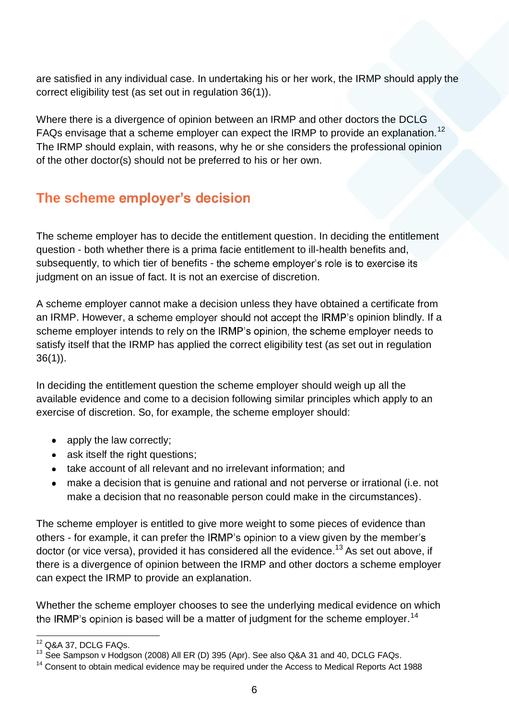are satisfied in any individual case. In undertaking his or her work, the IRMP should apply the correct eligibility test (as set out in regulation 36(1)).

Where there is a divergence of opinion between an IRMP and other doctors the DCLG FAQs envisage that a scheme employer can expect the IRMP to provide an explanation.<sup>12</sup> The IRMP should explain, with reasons, why he or she considers the professional opinion of the other doctor(s) should not be preferred to his or her own.

### **The scheme employer's decision**

The scheme employer has to decide the entitlement question. In deciding the entitlement question - both whether there is a prima facie entitlement to ill-health benefits and, subsequently, to which tier of benefits - the scheme employer's role is to exercise its judgment on an issue of fact. It is not an exercise of discretion.

A scheme employer cannot make a decision unless they have obtained a certificate from an IRMP. However, a scheme employer should not accept the IRMP's opinion blindly. If a scheme employer intends to rely on the IRMP's opinion, the scheme employer needs to satisfy itself that the IRMP has applied the correct eligibility test (as set out in regulation 36(1)).

In deciding the entitlement question the scheme employer should weigh up all the available evidence and come to a decision following similar principles which apply to an exercise of discretion. So, for example, the scheme employer should:

- apply the law correctly;
- ask itself the right questions;
- take account of all relevant and no irrelevant information; and
- make a decision that is genuine and rational and not perverse or irrational (i.e. not make a decision that no reasonable person could make in the circumstances).

The scheme employer is entitled to give more weight to some pieces of evidence than others - for example, it can prefer the IRMP's opinion to a view given by the member's doctor (or vice versa), provided it has considered all the evidence.<sup>13</sup> As set out above, if there is a divergence of opinion between the IRMP and other doctors a scheme employer can expect the IRMP to provide an explanation.

Whether the scheme employer chooses to see the underlying medical evidence on which the IRMP's opinion is based will be a matter of judgment for the scheme employer.<sup>14</sup>

 <sup>12</sup> Q&A 37, DCLG FAQs.

<sup>&</sup>lt;sup>13</sup> See Sampson v Hodgson (2008) All ER (D) 395 (Apr). See also Q&A 31 and 40, DCLG FAQs.

<sup>&</sup>lt;sup>14</sup> Consent to obtain medical evidence may be required under the Access to Medical Reports Act 1988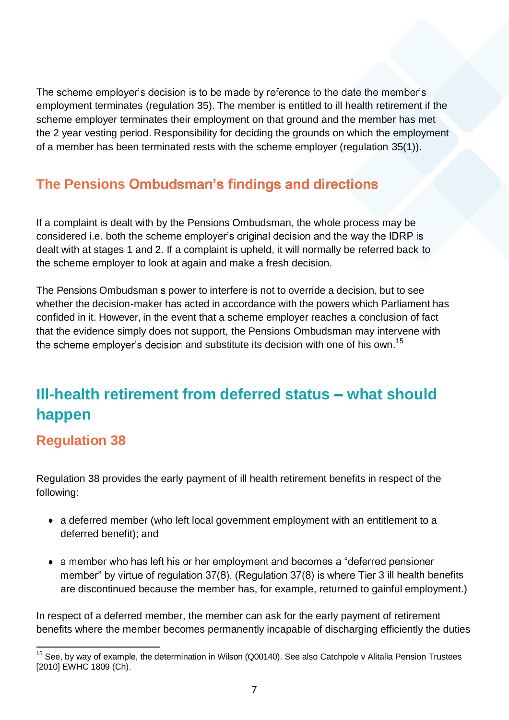The scheme employer's decision is to be made by reference to the date the member's employment terminates (regulation 35). The member is entitled to ill health retirement if the scheme employer terminates their employment on that ground and the member has met the 2 year vesting period. Responsibility for deciding the grounds on which the employment of a member has been terminated rests with the scheme employer (regulation 35(1)).

### **The Pensions Ombudsman's findings and directions**

If a complaint is dealt with by the Pensions Ombudsman, the whole process may be considered i.e. both the scheme employer's original decision and the way the IDRP is dealt with at stages 1 and 2. If a complaint is upheld, it will normally be referred back to the scheme employer to look at again and make a fresh decision.

The Pensions Ombudsman's power to interfere is not to override a decision, but to see whether the decision-maker has acted in accordance with the powers which Parliament has confided in it. However, in the event that a scheme employer reaches a conclusion of fact that the evidence simply does not support, the Pensions Ombudsman may intervene with and substitute its decision with one of his own.<sup>15</sup>

## **III-health retirement from deferred status - what should happen**

#### **Regulation 38**

Regulation 38 provides the early payment of ill health retirement benefits in respect of the following:

- a deferred member (who left local government employment with an entitlement to a deferred benefit); and
- a member who has left his or her employment and becomes a "deferred pensioner member" by virtue of regulation  $37(8)$ . (Regulation  $37(8)$  is where Tier 3 ill health benefits are discontinued because the member has, for example, returned to gainful employment.)

In respect of a deferred member, the member can ask for the early payment of retirement benefits where the member becomes permanently incapable of discharging efficiently the duties

 $15$  See, by way of example, the determination in Wilson (Q00140). See also Catchpole v Alitalia Pension Trustees [2010] EWHC 1809 (Ch).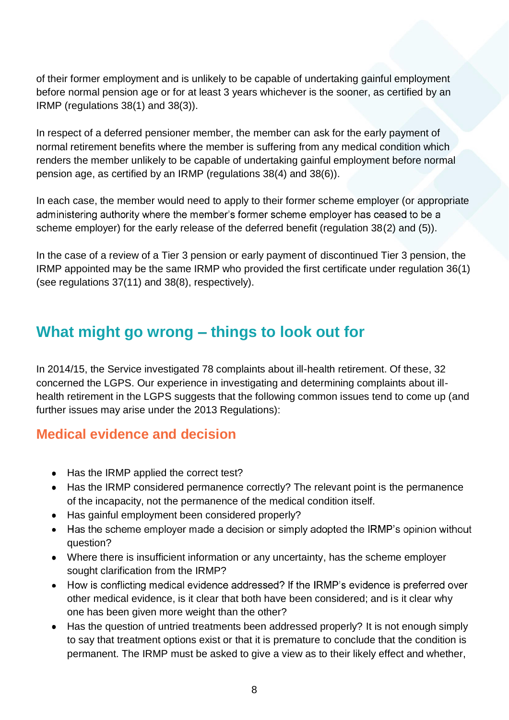of their former employment and is unlikely to be capable of undertaking gainful employment before normal pension age or for at least 3 years whichever is the sooner, as certified by an IRMP (regulations 38(1) and 38(3)).

In respect of a deferred pensioner member, the member can ask for the early payment of normal retirement benefits where the member is suffering from any medical condition which renders the member unlikely to be capable of undertaking gainful employment before normal pension age, as certified by an IRMP (regulations 38(4) and 38(6)).

In each case, the member would need to apply to their former scheme employer (or appropriate administering authority where the member's former scheme employer has ceased to be a scheme employer) for the early release of the deferred benefit (regulation 38(2) and (5)).

In the case of a review of a Tier 3 pension or early payment of discontinued Tier 3 pension, the IRMP appointed may be the same IRMP who provided the first certificate under regulation 36(1) (see regulations 37(11) and 38(8), respectively).

### **What might go wrong – things to look out for**

In 2014/15, the Service investigated 78 complaints about ill-health retirement. Of these, 32 concerned the LGPS. Our experience in investigating and determining complaints about illhealth retirement in the LGPS suggests that the following common issues tend to come up (and further issues may arise under the 2013 Regulations):

#### **Medical evidence and decision**

- Has the IRMP applied the correct test?
- Has the IRMP considered permanence correctly? The relevant point is the permanence of the incapacity, not the permanence of the medical condition itself.
- Has gainful employment been considered properly?
- Has the scheme employer made a decision or simply adopted the IRMP's opinion without question?
- Where there is insufficient information or any uncertainty, has the scheme employer sought clarification from the IRMP?
- How is conflicting medical evidence addressed? If the IRMP's evidence is preferred over other medical evidence, is it clear that both have been considered; and is it clear why one has been given more weight than the other?
- Has the question of untried treatments been addressed properly? It is not enough simply to say that treatment options exist or that it is premature to conclude that the condition is permanent. The IRMP must be asked to give a view as to their likely effect and whether,